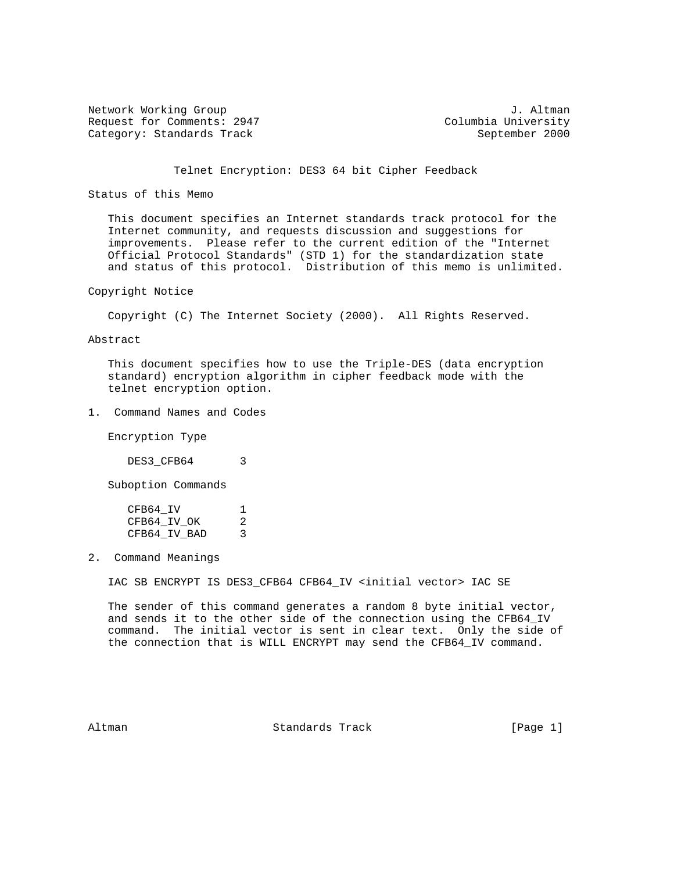Network Working Group J. Altman<br>Request for Comments: 2947 (Columbia University Request for Comments: 2947 Category: Standards Track September 2000

## Telnet Encryption: DES3 64 bit Cipher Feedback

### Status of this Memo

 This document specifies an Internet standards track protocol for the Internet community, and requests discussion and suggestions for improvements. Please refer to the current edition of the "Internet Official Protocol Standards" (STD 1) for the standardization state and status of this protocol. Distribution of this memo is unlimited.

Copyright Notice

Copyright (C) The Internet Society (2000). All Rights Reserved.

Abstract

 This document specifies how to use the Triple-DES (data encryption standard) encryption algorithm in cipher feedback mode with the telnet encryption option.

1. Command Names and Codes

Encryption Type

DES3\_CFB64 3

Suboption Commands

| CFB64 IV     |   |
|--------------|---|
| CFB64 IV OK  | 2 |
| CFB64 IV BAD |   |

2. Command Meanings

IAC SB ENCRYPT IS DES3\_CFB64 CFB64\_IV <initial vector> IAC SE

 The sender of this command generates a random 8 byte initial vector, and sends it to the other side of the connection using the CFB64\_IV command. The initial vector is sent in clear text. Only the side of the connection that is WILL ENCRYPT may send the CFB64\_IV command.

Altman **Standards Track** [Page 1]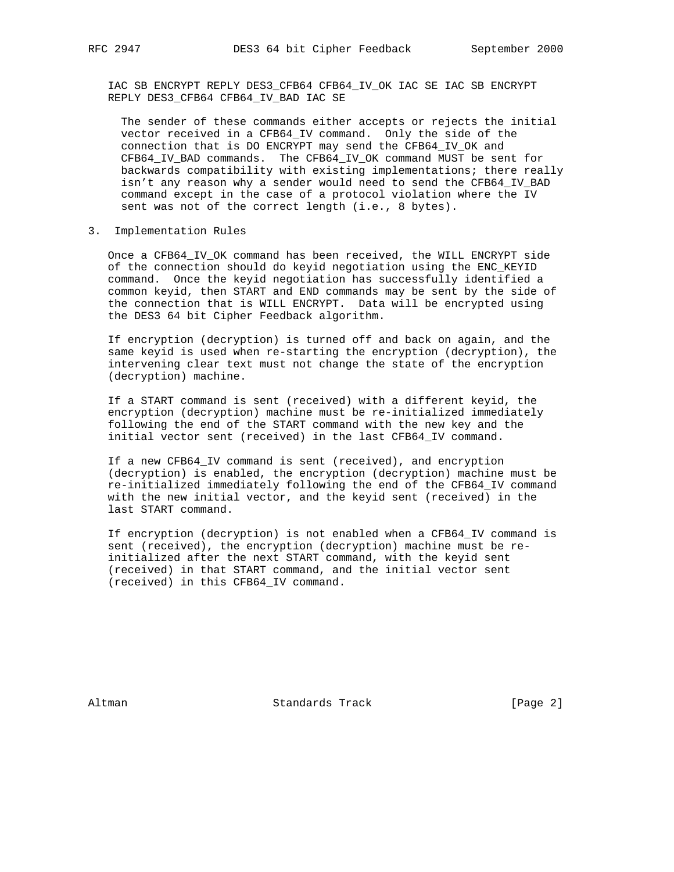IAC SB ENCRYPT REPLY DES3\_CFB64 CFB64\_IV\_OK IAC SE IAC SB ENCRYPT REPLY DES3\_CFB64 CFB64\_IV\_BAD IAC SE

 The sender of these commands either accepts or rejects the initial vector received in a CFB64\_IV command. Only the side of the connection that is DO ENCRYPT may send the CFB64\_IV\_OK and CFB64\_IV\_BAD commands. The CFB64\_IV\_OK command MUST be sent for backwards compatibility with existing implementations; there really isn't any reason why a sender would need to send the CFB64\_IV\_BAD command except in the case of a protocol violation where the IV sent was not of the correct length (i.e., 8 bytes).

3. Implementation Rules

 Once a CFB64\_IV\_OK command has been received, the WILL ENCRYPT side of the connection should do keyid negotiation using the ENC\_KEYID command. Once the keyid negotiation has successfully identified a common keyid, then START and END commands may be sent by the side of the connection that is WILL ENCRYPT. Data will be encrypted using the DES3 64 bit Cipher Feedback algorithm.

 If encryption (decryption) is turned off and back on again, and the same keyid is used when re-starting the encryption (decryption), the intervening clear text must not change the state of the encryption (decryption) machine.

 If a START command is sent (received) with a different keyid, the encryption (decryption) machine must be re-initialized immediately following the end of the START command with the new key and the initial vector sent (received) in the last CFB64\_IV command.

 If a new CFB64\_IV command is sent (received), and encryption (decryption) is enabled, the encryption (decryption) machine must be re-initialized immediately following the end of the CFB64\_IV command with the new initial vector, and the keyid sent (received) in the last START command.

 If encryption (decryption) is not enabled when a CFB64\_IV command is sent (received), the encryption (decryption) machine must be re initialized after the next START command, with the keyid sent (received) in that START command, and the initial vector sent (received) in this CFB64\_IV command.

Altman **Standards Track** [Page 2]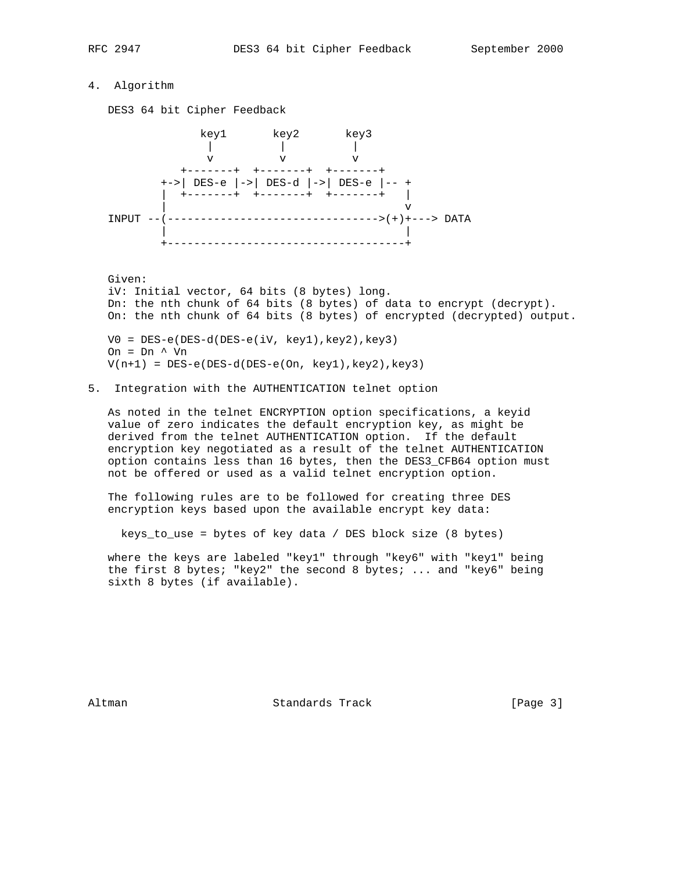# 4. Algorithm

DES3 64 bit Cipher Feedback



 Given: iV: Initial vector, 64 bits (8 bytes) long. Dn: the nth chunk of 64 bits (8 bytes) of data to encrypt (decrypt). On: the nth chunk of 64 bits (8 bytes) of encrypted (decrypted) output. V0 = DES-e(DES-d(DES-e(iV, key1),key2),key3) On = Dn ^ Vn

 $V(n+1) = DES-e(DES-d(DES-e(On, key1),key2),key3)$ 

5. Integration with the AUTHENTICATION telnet option

 As noted in the telnet ENCRYPTION option specifications, a keyid value of zero indicates the default encryption key, as might be derived from the telnet AUTHENTICATION option. If the default encryption key negotiated as a result of the telnet AUTHENTICATION option contains less than 16 bytes, then the DES3\_CFB64 option must not be offered or used as a valid telnet encryption option.

 The following rules are to be followed for creating three DES encryption keys based upon the available encrypt key data:

keys\_to\_use = bytes of key data / DES block size (8 bytes)

 where the keys are labeled "key1" through "key6" with "key1" being the first 8 bytes; "key2" the second 8 bytes; ... and "key6" being sixth 8 bytes (if available).

Altman **Standards Track** [Page 3]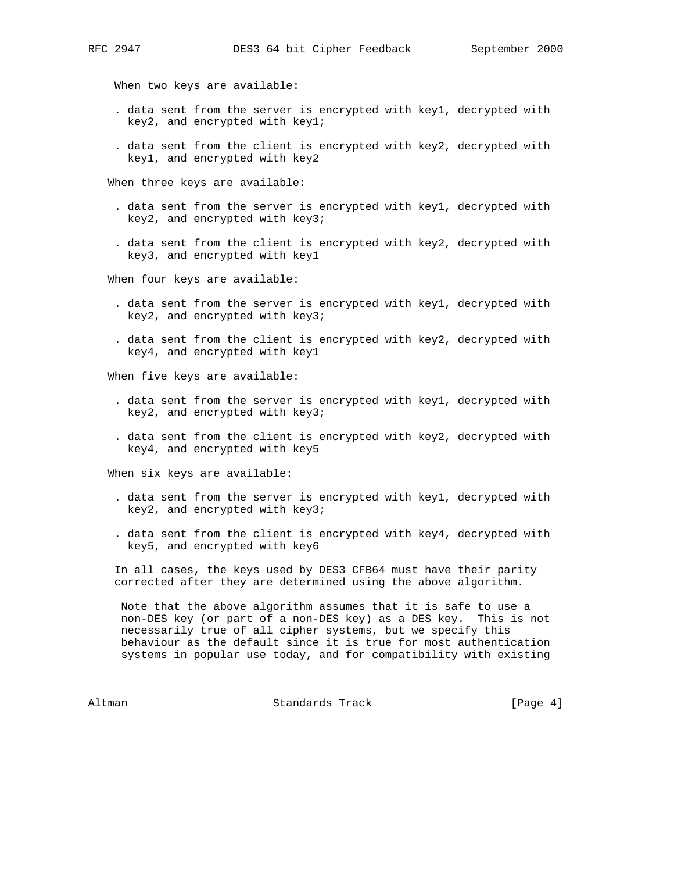When two keys are available:

- . data sent from the server is encrypted with key1, decrypted with key2, and encrypted with key1;
- . data sent from the client is encrypted with key2, decrypted with key1, and encrypted with key2

When three keys are available:

- . data sent from the server is encrypted with key1, decrypted with key2, and encrypted with key3;
- . data sent from the client is encrypted with key2, decrypted with key3, and encrypted with key1

When four keys are available:

- . data sent from the server is encrypted with key1, decrypted with key2, and encrypted with key3;
- . data sent from the client is encrypted with key2, decrypted with key4, and encrypted with key1

When five keys are available:

- . data sent from the server is encrypted with key1, decrypted with key2, and encrypted with key3;
- . data sent from the client is encrypted with key2, decrypted with key4, and encrypted with key5

When six keys are available:

- . data sent from the server is encrypted with key1, decrypted with key2, and encrypted with key3;
- . data sent from the client is encrypted with key4, decrypted with key5, and encrypted with key6

 In all cases, the keys used by DES3\_CFB64 must have their parity corrected after they are determined using the above algorithm.

 Note that the above algorithm assumes that it is safe to use a non-DES key (or part of a non-DES key) as a DES key. This is not necessarily true of all cipher systems, but we specify this behaviour as the default since it is true for most authentication systems in popular use today, and for compatibility with existing

Altman **Standards Track** 1996 [Page 4]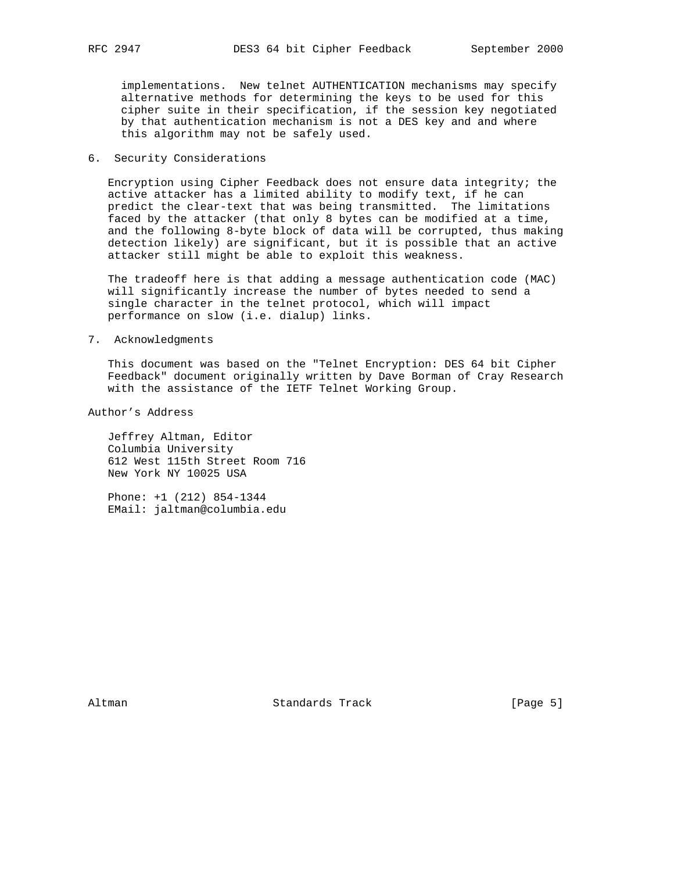implementations. New telnet AUTHENTICATION mechanisms may specify alternative methods for determining the keys to be used for this cipher suite in their specification, if the session key negotiated by that authentication mechanism is not a DES key and and where this algorithm may not be safely used.

## 6. Security Considerations

 Encryption using Cipher Feedback does not ensure data integrity; the active attacker has a limited ability to modify text, if he can predict the clear-text that was being transmitted. The limitations faced by the attacker (that only 8 bytes can be modified at a time, and the following 8-byte block of data will be corrupted, thus making detection likely) are significant, but it is possible that an active attacker still might be able to exploit this weakness.

 The tradeoff here is that adding a message authentication code (MAC) will significantly increase the number of bytes needed to send a single character in the telnet protocol, which will impact performance on slow (i.e. dialup) links.

#### 7. Acknowledgments

 This document was based on the "Telnet Encryption: DES 64 bit Cipher Feedback" document originally written by Dave Borman of Cray Research with the assistance of the IETF Telnet Working Group.

Author's Address

 Jeffrey Altman, Editor Columbia University 612 West 115th Street Room 716 New York NY 10025 USA

 Phone: +1 (212) 854-1344 EMail: jaltman@columbia.edu

Altman **Standards Track** [Page 5]